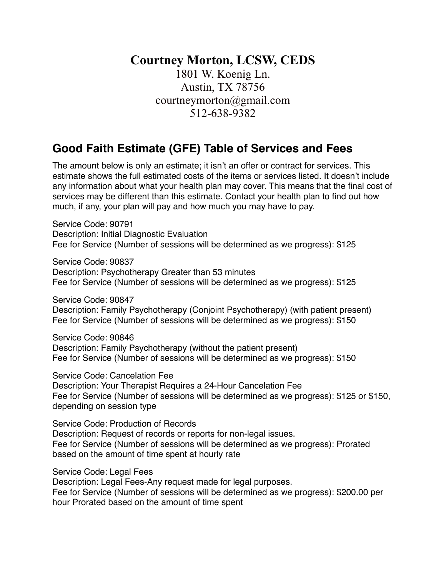## **Courtney Morton, LCSW, CEDS**

1801 W. Koenig Ln. Austin, TX 78756 courtneymorton@gmail.com 512-638-9382

## **Good Faith Estimate (GFE) Table of Services and Fees**

The amount below is only an estimate; it isn't an offer or contract for services. This estimate shows the full estimated costs of the items or services listed. It doesn't include any information about what your health plan may cover. This means that the final cost of services may be different than this estimate. Contact your health plan to find out how much, if any, your plan will pay and how much you may have to pay.

Service Code: 90791 Description: Initial Diagnostic Evaluation Fee for Service (Number of sessions will be determined as we progress): \$125

Service Code: 90837 Description: Psychotherapy Greater than 53 minutes Fee for Service (Number of sessions will be determined as we progress): \$125

Service Code: 90847 Description: Family Psychotherapy (Conjoint Psychotherapy) (with patient present) Fee for Service (Number of sessions will be determined as we progress): \$150

Service Code: 90846 Description: Family Psychotherapy (without the patient present) Fee for Service (Number of sessions will be determined as we progress): \$150

Service Code: Cancelation Fee Description: Your Therapist Requires a 24-Hour Cancelation Fee Fee for Service (Number of sessions will be determined as we progress): \$125 or \$150, depending on session type

Service Code: Production of Records Description: Request of records or reports for non-legal issues. Fee for Service (Number of sessions will be determined as we progress): Prorated based on the amount of time spent at hourly rate

Service Code: Legal Fees

Description: Legal Fees-Any request made for legal purposes. Fee for Service (Number of sessions will be determined as we progress): \$200.00 per hour Prorated based on the amount of time spent